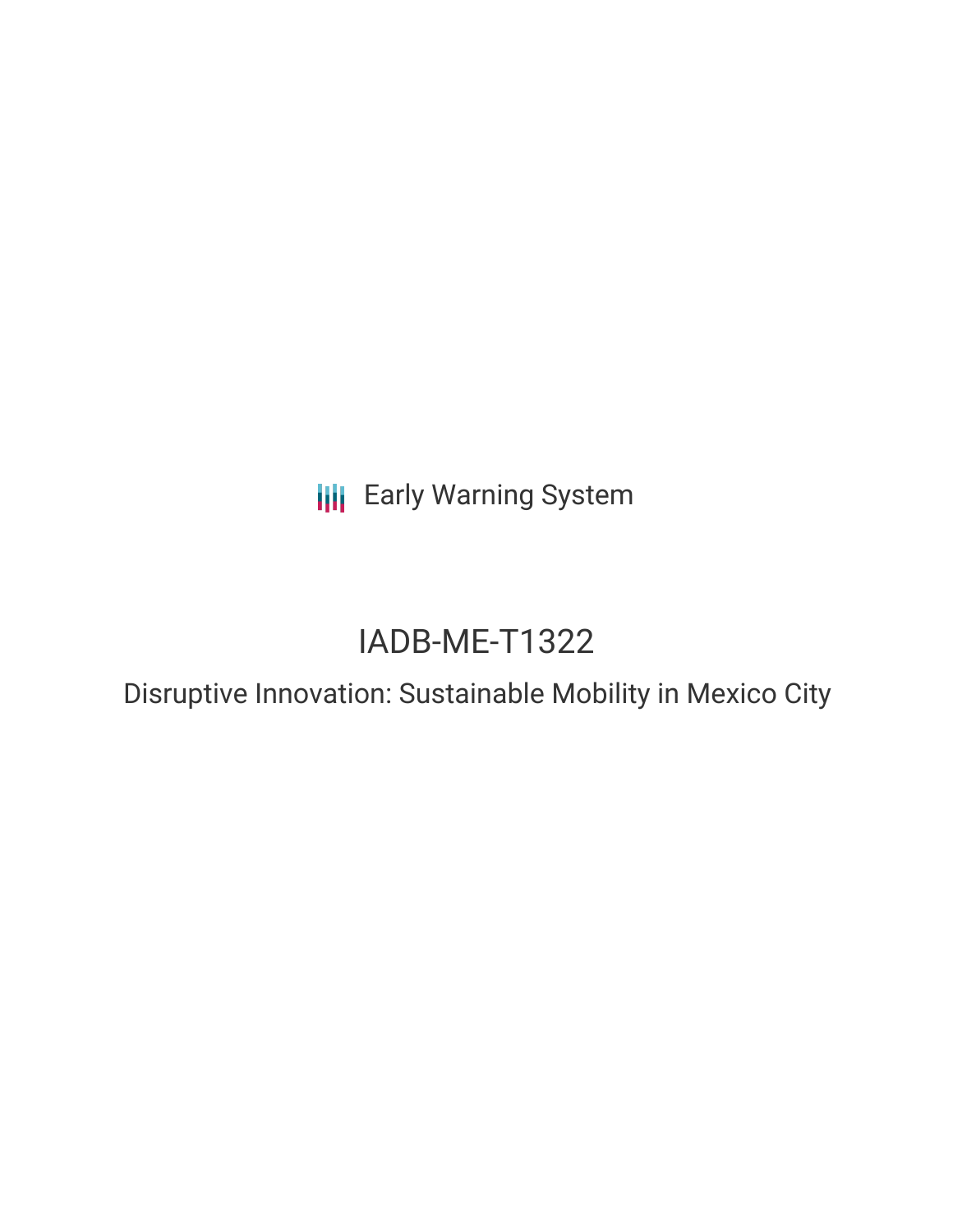**III** Early Warning System

# IADB-ME-T1322

Disruptive Innovation: Sustainable Mobility in Mexico City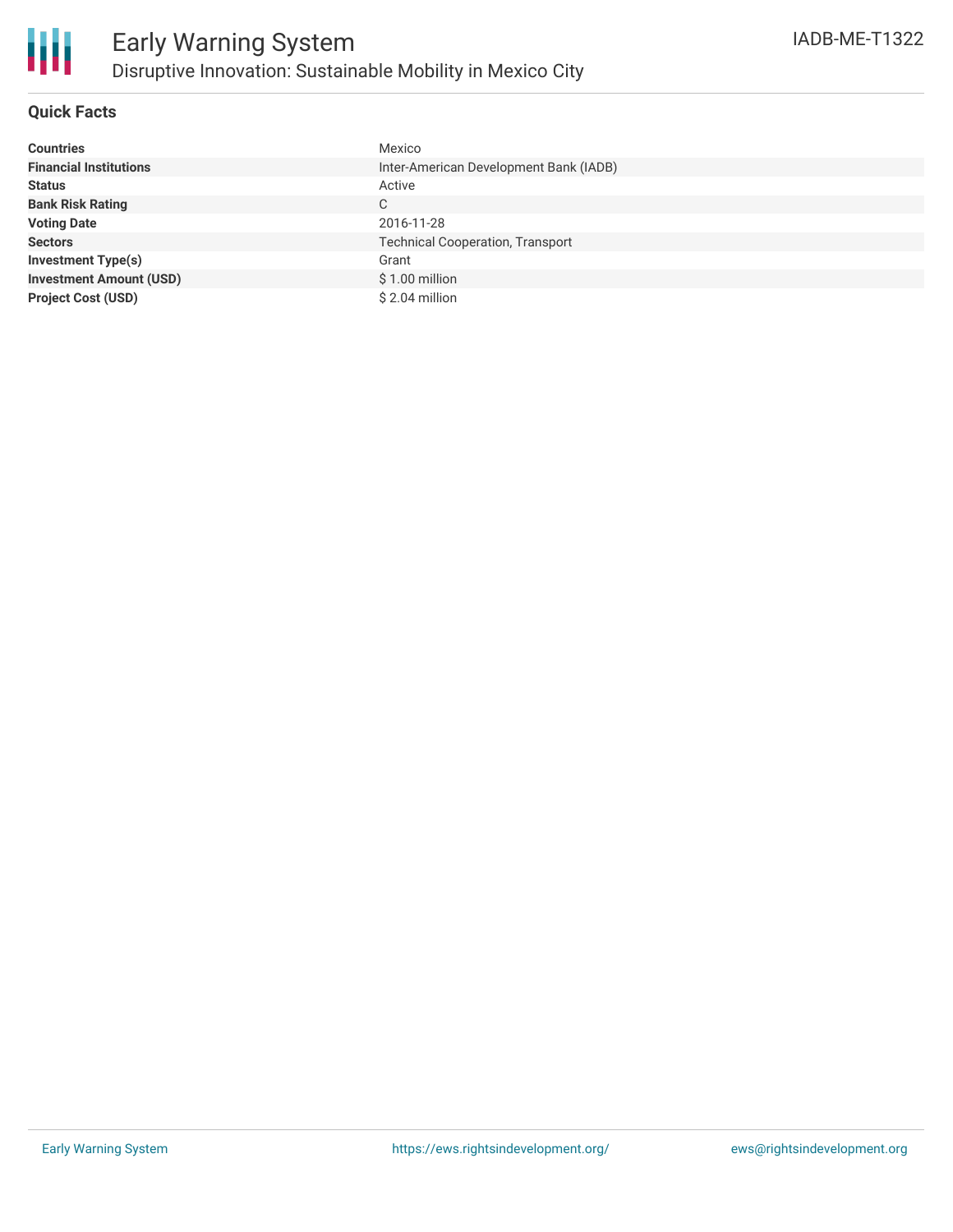#### **Quick Facts**

| <b>Countries</b>               | Mexico                                  |
|--------------------------------|-----------------------------------------|
| <b>Financial Institutions</b>  | Inter-American Development Bank (IADB)  |
| <b>Status</b>                  | Active                                  |
| <b>Bank Risk Rating</b>        | C                                       |
| <b>Voting Date</b>             | 2016-11-28                              |
| <b>Sectors</b>                 | <b>Technical Cooperation, Transport</b> |
| <b>Investment Type(s)</b>      | Grant                                   |
| <b>Investment Amount (USD)</b> | $$1.00$ million                         |
| <b>Project Cost (USD)</b>      | $$2.04$ million                         |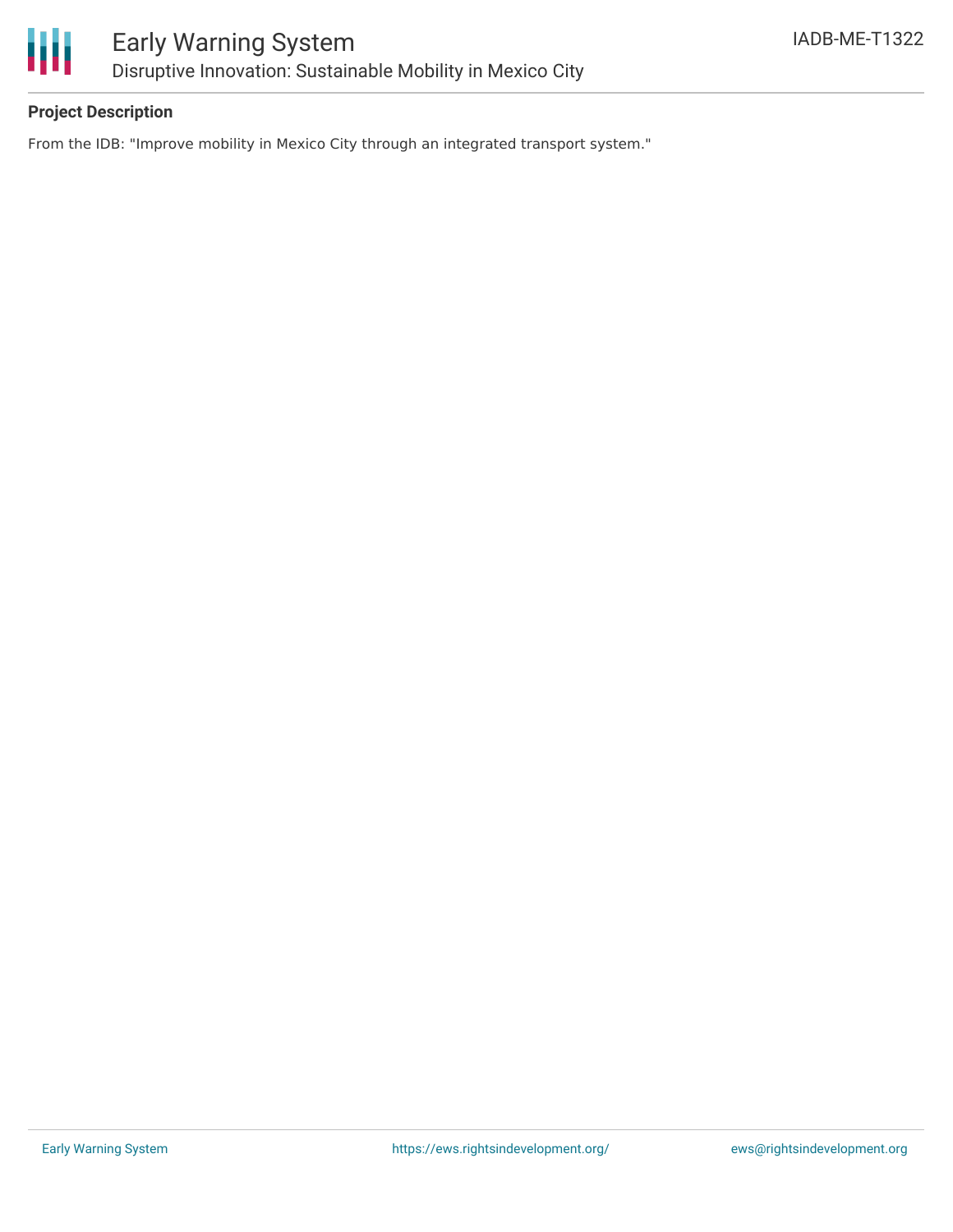

#### **Project Description**

From the IDB: "Improve mobility in Mexico City through an integrated transport system."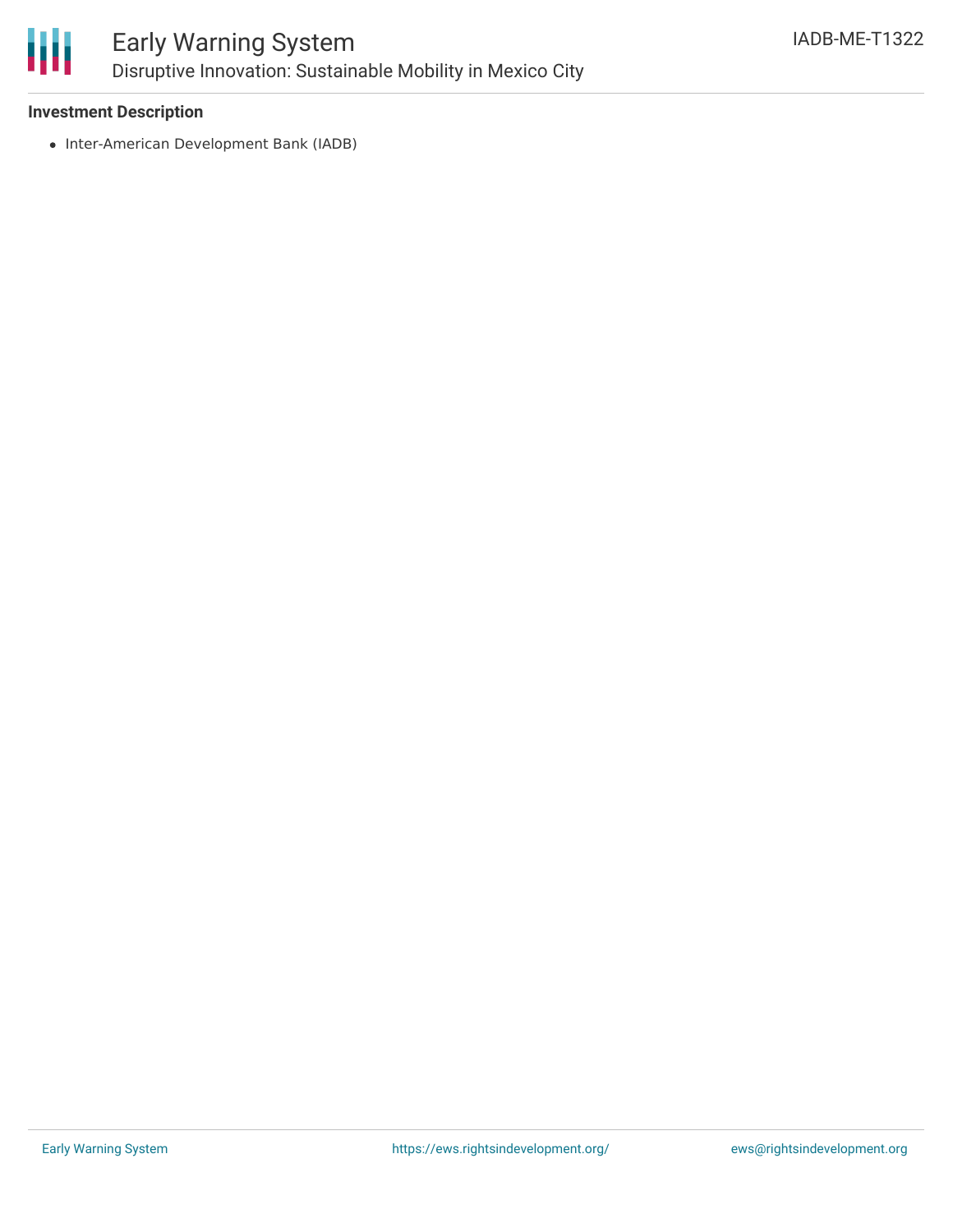

### Early Warning System Disruptive Innovation: Sustainable Mobility in Mexico City

#### **Investment Description**

• Inter-American Development Bank (IADB)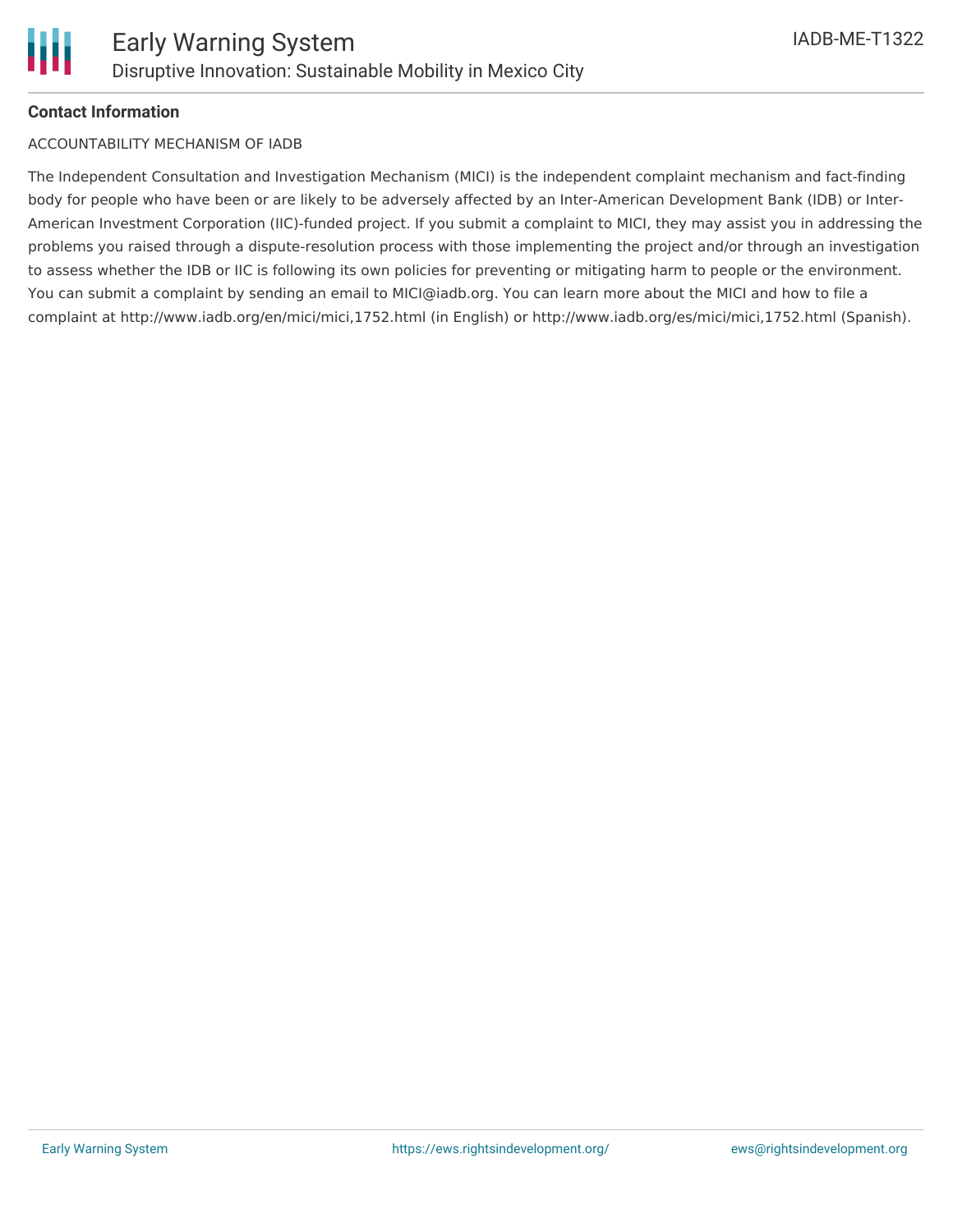#### **Contact Information**

#### ACCOUNTABILITY MECHANISM OF IADB

The Independent Consultation and Investigation Mechanism (MICI) is the independent complaint mechanism and fact-finding body for people who have been or are likely to be adversely affected by an Inter-American Development Bank (IDB) or Inter-American Investment Corporation (IIC)-funded project. If you submit a complaint to MICI, they may assist you in addressing the problems you raised through a dispute-resolution process with those implementing the project and/or through an investigation to assess whether the IDB or IIC is following its own policies for preventing or mitigating harm to people or the environment. You can submit a complaint by sending an email to MICI@iadb.org. You can learn more about the MICI and how to file a complaint at http://www.iadb.org/en/mici/mici,1752.html (in English) or http://www.iadb.org/es/mici/mici,1752.html (Spanish).